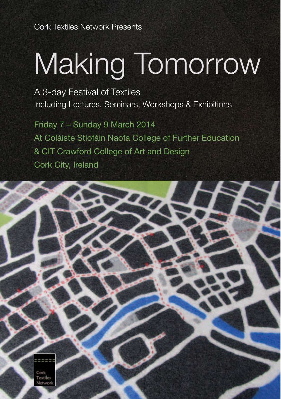Cork Textiles Network Presents

# Making Tomorrow

A 3-day Festival of Textiles Including Lectures, Seminars, Workshops & Exhibitions

Friday 7 – Sunday 9 March 2014 At Coláiste Stiofáin Naofa College of Further Education & CIT Crawford College of Art and Design Cork City, Ireland

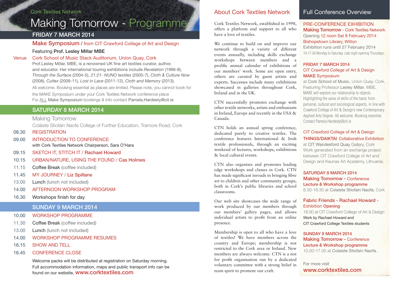#### Cork Textiles Network

## Making Tomorrow - Programme

#### FRIDAY 7 MARCH 2014

Make Symposium / from CIT Crawford College of Art and Design

#### Featuring Prof. Lesley Millar MBE

#### Venue Cork School of Music Stack Auditorium, Union Quay, Cork

Prof.Lesley Millar, MBE, is a renowned UK fine art textiles curator, author, and educator. Her international touring exhibitions include *Revelation* (1996-8), *Through the Surface* (2004-5), *21:21- NUNO textiles* (2005-7), *Cloth & Culture Now*  (2008), *Cultex* (2009-11), *Lost in Lace* (2011-12), *Cloth and Memory* (2013).

All welcome. Booking essential as places are limited. Please note, you cannot book for the MAKE Symposium under your Cork Textiles Network conference place For ALL Make Symposium bookings & info contact Pamela.Hardesty@cit.ie

#### SATURDAY 8 MARCH 2014

Making Tomorrow

Coláiste Stiofáin Naofa College of Further Education, Tramore Road, Cork

08.30 REGISTRATION

- 09.00 INTRODUCTION TO CONFERENCE with Cork Textiles Network Chairperson, Sara O'Hara
- 09.15 SKETCH IT, STITCH IT / Rachael Howard
- 10.15 URBAN/NATURE, USING THE FOUND / Cas Holmes
- 11.15 Coffee Break (coffee included)
- 11.45 MY JOURNEY / Liz Spillane
- 13.00 Lunch (lunch not included)
- 14.00 AFTERNOON WORKSHOP PROGRAM
- 16.30 Workshops finish for day

#### SUNDAY 9 MARCH 2014

- 10.00 WORKSHOP PROGRAMME
- 11.30 Coffee Break (coffee included)
- 13.00 Lunch (lunch not included)
- 14.00 WORKSHOP PROGRAMME RESUMES
- 16.15 SHOW AND TELL
- 16.45 CONFERENCE CLOSE

Welcome packs will be distributed at registration on Saturday morning. Full accommodation information, maps and public transport info can be found on our website, www.corktextiles.com

#### About Cork Textiles Network

Cork Textiles Network, established in 1998, offers a platform and support to all who have a love of textiles.

We continue to build on and improve our network through a variety of different events annually, including skills exchange workshops between members and a prolific annual calendar of exhibitions of our members' work. Some are open entry, others are curated by guest artists and experts. Successes include many exhibitions showcased in galleries throughout Cork, Ireland and in the UK.

CTN successfully promotes exchange with other textile networks, artists and enthusiasts in Ireland, Europe and recently in the USA & Canada.

CTN holds an annual spring conference, dedicated purely to creative textiles. The conference features International & Irish textile professionals, through an exciting weekend of lectures, workshops, exhibitions & local cultural events.

CTN also organises and promotes leading edge workshops and classes in Cork. CTN has made significant inroads in bringing fibre art to children and other community groups, both in Cork's public libraries and school classrooms.

Our web site showcases the wide range of work produced by our members through our members' gallery pages, and allows individual artists to profit from an online presence.

Membership is open to all who have a love of textiles! We have members across the country and Europe; membership is not restricted to the Cork area or Ireland. New members are always welcome. CTN is a not for profit organisation run by a dedicated voluntary committee with a strong belief in team spirit to promote our craft.

#### Full Conference Overview

#### PRE-CONFERENCE EXHIBITION Making Tomorrow - Cork Textiles Network Opening 12 noon Sat 8 February 2014 Bishopstown Library, Wilton

Exhibition runs until 27 February 2014 10-17.30 Monday to Saturday. Late night opening Thursdays

#### FRIDAY 7 MARCH 2014 CIT Crawford College of Art & Design MAKE Symposium

at Cork School of Music, Union Quay, Cork. Featuring Professor Lesley Millar, MBE, MAKE will explore our relationship to objects. Highlighting the value of skills of the hand, from personal, cultural and sociological aspects, in line with Crawford College of Art & Design's new Contemporary Applied Arts Degree. All welcome. Booking essential. Contact Pamela.Hardesty@cit.ie

#### CIT Crawford College of Art & Design THINGS/DAIKTAI Collaborative Exhibition

at CIT Wandesford Quay Gallery, Cork Work generated from an exchange project between CIT Crawford College of Art and Design and Kaunas Art Academy, Lithuania.

#### SATURDAY 8 MARCH 2014 Making Tomorrow - Conference Lecture & Workshop programme 8.30-16.30 at Colaiste Stiofain Naofa, Cork

#### Fabric Friends - Rachael Howard - Exhibition Opening

18.00 at CIT Crawford College of Art & Design Work by Rachael Howard and CIT Crawford College Textiles students

#### SUNDAY 9 MARCH 2014 Making Tomorrow - Conference Lecture & Workshop programme 10.00-17.00 at Colaiste Stiofain Naofa,

For more visit www.corktextiles.com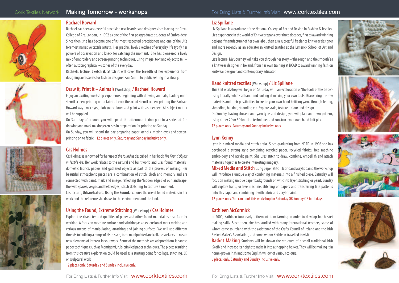#### **Rachael Howard**

Rachael has been a successful practising textile artist and designer since leaving the Royal College of Art, London, in 1992 as one of the first postgraduate students of Embroidery. Since then, she has become one of its most respected practitioners and one of the UK's foremost narrative textile artists. Her graphic, lively sketches of everyday life typify her powers of observation and knack for catching the moment. She has pioneered a lively mix of embroidery and screen-printing techniques, using image, text and object to tell – often autobiographical – stories of the everyday.

Rachael's lecture, **Sketch it, Stitch it** will cover the breadth of her experience from designing accessories for fashion designer Paul Smith to public seating in a library.

#### **Draw it, Print it – Animals** [Workshop] **/ Rachael Howard**

Enjoy an exciting workshop experience, beginning with drawing animals, leading on to stencil screen-printing on to fabric. Learn the art of stencil screen-printing the Rachael Howard way - mix dyes, blob your colours and paint with a squeegee. All subject matter will be supplied.

On Saturday afternoon, you will spend the afternoon taking part in a series of fun drawing and mark making exercises in preparation for printing on Sunday. On Sunday, you will spend the day preparing paper stencils, mixing dyes and screenprinting on to fabric. 12 places only. Saturday and Sunday inclusive only.

Cas Holmes is renowned for her use of the found as described in her book The Found Object

#### **Cas Holmes**







#### **Using the Found, Extreme Stitching** [Workshop] **/ Cas Holmes**

Explore the character and qualities of paper and other found material as a surface for working. A focus on machine and/or hand stitching as an extension of mark making and various means of manipulating, attaching and joining surfaces. We will use different threads to build up a range of distressed, torn, manipulated and collage surfaces to create new elements of interest in your work. Some of the methods are adapted from Japanese paper techniques such as Momigami, rub-crinkled paper techniques. The pieces resulting from this creative exploration could be used as a starting point for collage, stitching, 3D or sculptural work

12 places only. Saturday and Sunday inclusive only.

#### **Liz Spillane**

Liz Spillane is a graduate of the National College of Art and Design in Fashion & Textiles. Liz's experience in the world of Knitwear spans over three decades, first as award winning designer/manufacturer of her own label, then as a successful freelance knitwear designer and more recently as an educator in knitted textiles at the Limerick School of Art and Design.

Liz's lecture, **My Journey** will take you through her story – 'the rough and the smooth' as a knitwear designer in Ireland, from her own training at NCAD to award winning fashion knitwear designer and contemporary educator.

#### **Hand knitted textiles** [Workshop] **/ Liz Spillane**

This knit workshop will begin on Saturday with an exploration of 'the tools of the trade' using literally 'what's at hand' and looking at making your own tools. Discovering the raw materials and their possibilities to create your own hand knitting yarns through felting, shredding, bulking, stranding etc. Explore scale, texture, colour and design. On Sunday, having chosen your yarn type and design, you will plan your own pattern, using either 2D or 3D knitting techniques and construct your own hand knit piece. 12 places only. Saturday and Sunday inclusive only.

#### **Lynn Kenny**

Lynn is a mixed media and stitch artist. Since graduating from NCAD in 1996 she has developed a strong style combining recycled paper, recycled fabrics, free machine embroidery and acrylic paint. She uses stitch to draw, combine, embellish and attach materials together to create interesting imagery.

**Mixed Media and Stitch** Using paper, stitch, fabric and acrylic paint, the workshop will introduce a unique way of combining materials into a finished piece. Saturday will focus on making unique paper backgrounds on which to layer stitching or paint. Sunday will explore hand, or free machine, stitching on papers and transferring line patterns onto this paper and combining it with fabric and acrylic paint.

12 places only. You can book this workshop for Saturday OR Sunday OR both days

#### **Kathleen McCormick**

In 2000, Kathleen took early retirement from farming in order to develop her basket making skills. Since then, she has studied with many international teachers, some of whom came to Ireland with the assistance of the Crafts Council of Ireland and the Irish Basket Maker's Association, and some whom Kathleen travelled to visit. **Basket Making** Students will be shown the structure of a small traditional Irish 'Scoib' and increase its height to make it into a shopping basket. They will be making it in home-grown Irish and some English willow of various colours.

8 places only. Saturday and Sunday inclusive only.









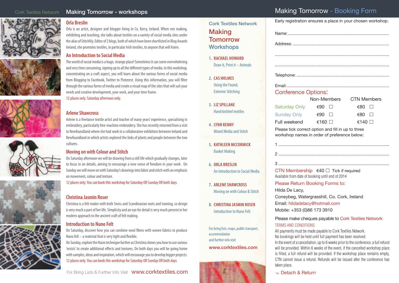### Cork Textiles Network Making Tomorrow - workshops



#### **Orla Breslin**

Orla is an artist, designer and blogger living in Co. Kerry, Ireland. When not making, exhibiting and teaching, she talks about textiles on a variety of social media sites under the alias of Stitchlily. Editor of 2 blogs, both of which have been shortlisted in Blog Awards Ireland, she promotes textiles, in particular Irish textiles, to anyone that will listen.

#### **An Introduction to Social Media**













The world of social media is a huge, strange place! Sometimes it can seem overwhelming and very time consuming, signing up to all the different types of media. In this workshop, concentrating on a craft aspect, you will learn about the various forms of social media from Blogging to Facebook, Twitter to Pinterest. Using this information, you will filter through the various forms of media and create a visual map of the sites that will suit your needs and creative development, your work, and your time frame.

12 places only. Saturday afternoon only.

#### **Arlene Shawcross**

Arlene is a freelance textile artist and teacher of many years' experience, specialising in embroidery, particularly free-machine embroidery. She has recently returned from a visit to Newfoundland where she had work in a collaborative exhibition between Ireland and Newfoundland in which artists explored the links of plants and people between the two cultures.

#### **Moving on with Colour and Stitch**

On Saturday afternoon we will be drawing from a still life which gradually changes, later to focus in on details, aiming to encourage a new sense of freedom in your work. On Sunday we will move on with Saturday's drawings into fabric and stitch with an emphasis on movement, colour and texture.

12 places only. You can book this workshop for Saturday OR Sunday OR both days

#### **Christina Jasmin Roser**

Christina is a felt maker with both Swiss and Scandinavian roots and training, so design is very much a part of her life. Simplicity and an eye for detail is very much present in her modern approach to the ancient craft of felt making.

#### **Introduction to Nuno Felt**

On Saturday, discover how you can combine wool fibres with woven fabrics to produce Nuno felt  $-$  a material that is very light and flexible.

On Sunday, explore the Nuno technique further as Christina shows you how to use various 'resists' to create additional effects and textures. On both days you will be going home with samples, ideas and inspiration, which will encourage you to develop bigger projects. 12 places only. You can book this workshop for Saturday OR Sunday OR both days

### Making Tomorrow - Booking Form

Cork Textiles Network Draw it, Print it – Animals Early registration ensures a place in your chosen workshop. Name:..................................................................................... Address: ................................................................................. ................................................................................................ Telephone: .............................................................................. Email:...................................................................................... Conference Options: Non-Members CTN Members Saturday Only  $€90 \quad \Box$   $€80 \quad \Box$ Sunday Only  $\epsilon$ 90  $\Box$   $\epsilon$ 80  $\Box$ Full weekend  $\epsilon$ 160  $\Box$   $\epsilon$ 140  $\Box$ Please tick correct option and fill in up to three workshop names in order of preference below: 1 ............................................................................................. 2 ............................................................................................. 3 ............................................................................................. CTN Membership  $\epsilon$ 40  $\Box$  Tick if required Available from date of booking until end of 2014 Please Return Booking Forms to: Hilda De Lacy, Coneybeg, Watergrasshill, Co. Cork, Ireland Email: hildadelacy@hotmail.com Mobile: +353 (0)86 173 3910 Please make cheques payable to Cork Textiles Network TERMS AND CONDITIONS All payments must be made payable to Cork Textiles Network. No bookings will be held until full payment has been received. In the event of a cancellation, up to 6 weeks prior to the conference, a full refund will be provided. Within 6 weeks of the event, if the cancelled workshop place is filled, a full refund will be provided. If the workshop place remains empty, CTN cannot issue a refund. Refunds will be issued after the conference has taken place.

#### Constach & Return

| <b>3. LIZ SPILLANE</b>       |  |
|------------------------------|--|
| <b>Hand knitted textiles</b> |  |

**4. LYNN KENNY** Mixed Media and Stitch

**Making** Tomorrow **Workshops** 

**1. RACHAEL HOWARD**

**2. CAS HOLMES** Using the Found, Extreme Stitching

- **5. KATHLEEN MCCORMICK** Basket Making
- **6. ORLA BRESLIN** An Introduction to Social Media
- **7. ARLENE SHAWCROSS** Moving on with Colour & Stitch
- **8. CHRISTINA JASMIN ROSER**  Introduction to Nuno Felt

For bring lists, maps, public transport, accommodation and further info visit www.corktextiles.com